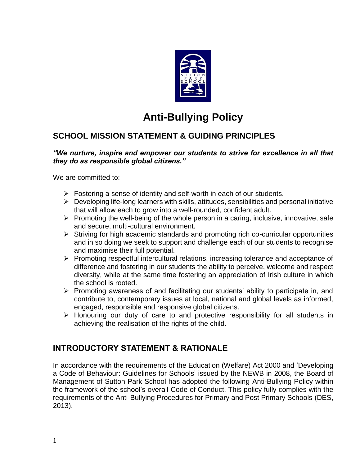

# **Anti-Bullying Policy**

# **SCHOOL MISSION STATEMENT & GUIDING PRINCIPLES**

#### *"We nurture, inspire and empower our students to strive for excellence in all that they do as responsible global citizens."*

We are committed to:

- $\triangleright$  Fostering a sense of identity and self-worth in each of our students.
- $\triangleright$  Developing life-long learners with skills, attitudes, sensibilities and personal initiative that will allow each to grow into a well-rounded, confident adult.
- ➢ Promoting the well-being of the whole person in a caring, inclusive, innovative, safe and secure, multi-cultural environment.
- ➢ Striving for high academic standards and promoting rich co-curricular opportunities and in so doing we seek to support and challenge each of our students to recognise and maximise their full potential.
- ➢ Promoting respectful intercultural relations, increasing tolerance and acceptance of difference and fostering in our students the ability to perceive, welcome and respect diversity, while at the same time fostering an appreciation of Irish culture in which the school is rooted.
- ➢ Promoting awareness of and facilitating our students' ability to participate in, and contribute to, contemporary issues at local, national and global levels as informed, engaged, responsible and responsive global citizens.
- ➢ Honouring our duty of care to and protective responsibility for all students in achieving the realisation of the rights of the child.

### **INTRODUCTORY STATEMENT & RATIONALE**

In accordance with the requirements of the Education (Welfare) Act 2000 and 'Developing a Code of Behaviour: Guidelines for Schools' issued by the NEWB in 2008, the Board of Management of Sutton Park School has adopted the following Anti-Bullying Policy within the framework of the school's overall Code of Conduct. This policy fully complies with the requirements of the Anti-Bullying Procedures for Primary and Post Primary Schools (DES, 2013).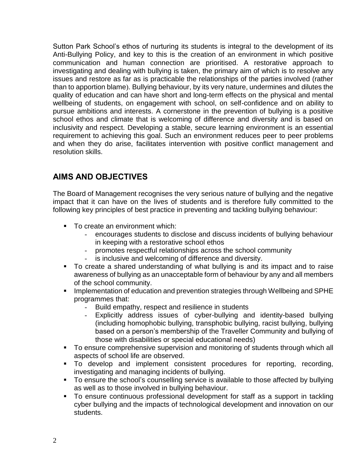Sutton Park School's ethos of nurturing its students is integral to the development of its Anti-Bullying Policy, and key to this is the creation of an environment in which positive communication and human connection are prioritised. A restorative approach to investigating and dealing with bullying is taken, the primary aim of which is to resolve any issues and restore as far as is practicable the relationships of the parties involved (rather than to apportion blame). Bullying behaviour, by its very nature, undermines and dilutes the quality of education and can have short and long-term effects on the physical and mental wellbeing of students, on engagement with school, on self-confidence and on ability to pursue ambitions and interests. A cornerstone in the prevention of bullying is a positive school ethos and climate that is welcoming of difference and diversity and is based on inclusivity and respect. Developing a stable, secure learning environment is an essential requirement to achieving this goal. Such an environment reduces peer to peer problems and when they do arise, facilitates intervention with positive conflict management and resolution skills.

# **AIMS AND OBJECTIVES**

The Board of Management recognises the very serious nature of bullying and the negative impact that it can have on the lives of students and is therefore fully committed to the following key principles of best practice in preventing and tackling bullying behaviour:

- To create an environment which:
	- encourages students to disclose and discuss incidents of bullying behaviour in keeping with a restorative school ethos
	- promotes respectful relationships across the school community
	- is inclusive and welcoming of difference and diversity.
- To create a shared understanding of what bullying is and its impact and to raise awareness of bullying as an unacceptable form of behaviour by any and all members of the school community.
- **E** Implementation of education and prevention strategies through Wellbeing and SPHE programmes that:
	- Build empathy, respect and resilience in students
	- Explicitly address issues of cyber-bullying and identity-based bullying (including homophobic bullying, transphobic bullying, racist bullying, bullying based on a person's membership of the Traveller Community and bullying of those with disabilities or special educational needs)
- To ensure comprehensive supervision and monitoring of students through which all aspects of school life are observed.
- To develop and implement consistent procedures for reporting, recording, investigating and managing incidents of bullying.
- To ensure the school's counselling service is available to those affected by bullying as well as to those involved in bullying behaviour.
- To ensure continuous professional development for staff as a support in tackling cyber bullying and the impacts of technological development and innovation on our students.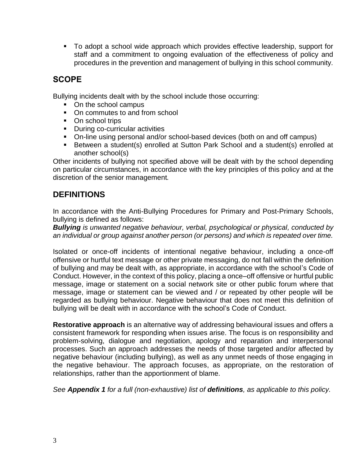▪ To adopt a school wide approach which provides effective leadership, support for staff and a commitment to ongoing evaluation of the effectiveness of policy and procedures in the prevention and management of bullying in this school community.

# **SCOPE**

Bullying incidents dealt with by the school include those occurring:

- On the school campus
- On commutes to and from school
- On school trips
- **•** During co-curricular activities
- On-line using personal and/or school-based devices (both on and off campus)
- Between a student(s) enrolled at Sutton Park School and a student(s) enrolled at another school(s)

Other incidents of bullying not specified above will be dealt with by the school depending on particular circumstances, in accordance with the key principles of this policy and at the discretion of the senior management*.* 

# **DEFINITIONS**

In accordance with the Anti-Bullying Procedures for Primary and Post-Primary Schools, bullying is defined as follows:

*Bullying is unwanted negative behaviour, verbal, psychological or physical, conducted by an individual or group against another person (or persons) and which is repeated over time.* 

Isolated or once-off incidents of intentional negative behaviour, including a once-off offensive or hurtful text message or other private messaging, do not fall within the definition of bullying and may be dealt with, as appropriate, in accordance with the school's Code of Conduct. However, in the context of this policy, placing a once–off offensive or hurtful public message, image or statement on a social network site or other public forum where that message, image or statement can be viewed and / or repeated by other people will be regarded as bullying behaviour. Negative behaviour that does not meet this definition of bullying will be dealt with in accordance with the school's Code of Conduct.

**Restorative approach** is an alternative way of addressing behavioural issues and offers a consistent framework for responding when issues arise. The focus is on responsibility and problem-solving, dialogue and negotiation, apology and reparation and interpersonal processes. Such an approach addresses the needs of those targeted and/or affected by negative behaviour (including bullying), as well as any unmet needs of those engaging in the negative behaviour. The approach focuses, as appropriate, on the restoration of relationships, rather than the apportionment of blame.

*See Appendix 1 for a full (non-exhaustive) list of definitions, as applicable to this policy.*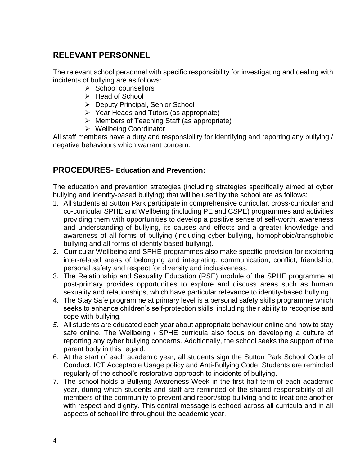# **RELEVANT PERSONNEL**

The relevant school personnel with specific responsibility for investigating and dealing with incidents of bullying are as follows:

- ➢ School counsellors
- ➢ Head of School
- ➢ Deputy Principal, Senior School
- ➢ Year Heads and Tutors (as appropriate)
- ➢ Members of Teaching Staff (as appropriate)
- ➢ Wellbeing Coordinator

All staff members have a duty and responsibility for identifying and reporting any bullying / negative behaviours which warrant concern.

### **PROCEDURES- Education and Prevention:**

The education and prevention strategies (including strategies specifically aimed at cyber bullying and identity-based bullying) that will be used by the school are as follows:

- 1. All students at Sutton Park participate in comprehensive curricular, cross-curricular and co-curricular SPHE and Wellbeing (including PE and CSPE) programmes and activities providing them with opportunities to develop a positive sense of self-worth, awareness and understanding of bullying, its causes and effects and a greater knowledge and awareness of all forms of bullying (including cyber-bullying, homophobic/transphobic bullying and all forms of identity-based bullying).
- 2. Curricular Wellbeing and SPHE programmes also make specific provision for exploring inter-related areas of belonging and integrating, communication, conflict, friendship, personal safety and respect for diversity and inclusiveness.
- 3. The Relationship and Sexuality Education (RSE) module of the SPHE programme at post-primary provides opportunities to explore and discuss areas such as human sexuality and relationships, which have particular relevance to identity-based bullying.
- 4. The Stay Safe programme at primary level is a personal safety skills programme which seeks to enhance children's self-protection skills, including their ability to recognise and cope with bullying.
- *5.* All students are educated each year about appropriate behaviour online and how to stay safe online. The Wellbeing / SPHE curricula also focus on developing a culture of reporting any cyber bullying concerns. Additionally, the school seeks the support of the parent body in this regard.
- 6. At the start of each academic year, all students sign the Sutton Park School Code of Conduct, ICT Acceptable Usage policy and Anti-Bullying Code. Students are reminded regularly of the school's restorative approach to incidents of bullying.
- 7. The school holds a Bullying Awareness Week in the first half-term of each academic year, during which students and staff are reminded of the shared responsibility of all members of the community to prevent and report/stop bullying and to treat one another with respect and dignity. This central message is echoed across all curricula and in all aspects of school life throughout the academic year.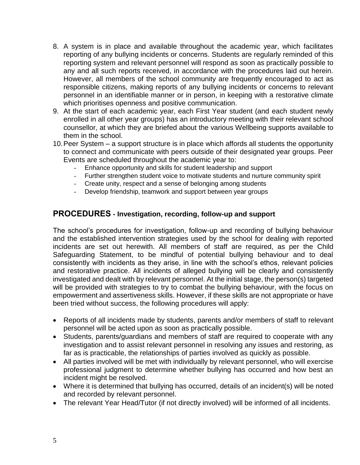- 8. A system is in place and available throughout the academic year, which facilitates reporting of any bullying incidents or concerns. Students are regularly reminded of this reporting system and relevant personnel will respond as soon as practically possible to any and all such reports received, in accordance with the procedures laid out herein. However, all members of the school community are frequently encouraged to act as responsible citizens, making reports of any bullying incidents or concerns to relevant personnel in an identifiable manner or in person, in keeping with a restorative climate which prioritises openness and positive communication.
- 9. At the start of each academic year, each First Year student (and each student newly enrolled in all other year groups) has an introductory meeting with their relevant school counsellor, at which they are briefed about the various Wellbeing supports available to them in the school.
- 10.Peer System a support structure is in place which affords all students the opportunity to connect and communicate with peers outside of their designated year groups. Peer Events are scheduled throughout the academic year to:
	- Enhance opportunity and skills for student leadership and support
	- Further strengthen student voice to motivate students and nurture community spirit
	- Create unity, respect and a sense of belonging among students
	- Develop friendship, teamwork and support between year groups

#### **PROCEDURES - Investigation, recording, follow-up and support**

The school's procedures for investigation, follow-up and recording of bullying behaviour and the established intervention strategies used by the school for dealing with reported incidents are set out herewith. All members of staff are required, as per the Child Safeguarding Statement, to be mindful of potential bullying behaviour and to deal consistently with incidents as they arise, in line with the school's ethos, relevant policies and restorative practice. All incidents of alleged bullying will be clearly and consistently investigated and dealt with by relevant personnel. At the initial stage, the person(s) targeted will be provided with strategies to try to combat the bullying behaviour, with the focus on empowerment and assertiveness skills. However, if these skills are not appropriate or have been tried without success, the following procedures will apply:

- Reports of all incidents made by students, parents and/or members of staff to relevant personnel will be acted upon as soon as practically possible.
- Students, parents/guardians and members of staff are required to cooperate with any investigation and to assist relevant personnel in resolving any issues and restoring, as far as is practicable, the relationships of parties involved as quickly as possible.
- All parties involved will be met with individually by relevant personnel, who will exercise professional judgment to determine whether bullying has occurred and how best an incident might be resolved.
- Where it is determined that bullying has occurred, details of an incident(s) will be noted and recorded by relevant personnel.
- The relevant Year Head/Tutor (if not directly involved) will be informed of all incidents.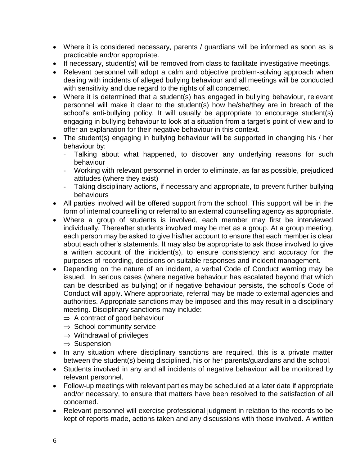- Where it is considered necessary, parents / guardians will be informed as soon as is practicable and/or appropriate.
- If necessary, student(s) will be removed from class to facilitate investigative meetings.
- Relevant personnel will adopt a calm and objective problem-solving approach when dealing with incidents of alleged bullying behaviour and all meetings will be conducted with sensitivity and due regard to the rights of all concerned.
- Where it is determined that a student(s) has engaged in bullying behaviour, relevant personnel will make it clear to the student(s) how he/she/they are in breach of the school's anti-bullying policy. It will usually be appropriate to encourage student(s) engaging in bullying behaviour to look at a situation from a target's point of view and to offer an explanation for their negative behaviour in this context.
- The student(s) engaging in bullying behaviour will be supported in changing his / her behaviour by:
	- Talking about what happened, to discover any underlying reasons for such behaviour
	- Working with relevant personnel in order to eliminate, as far as possible, prejudiced attitudes (where they exist)
	- Taking disciplinary actions, if necessary and appropriate, to prevent further bullying behaviours
- All parties involved will be offered support from the school. This support will be in the form of internal counselling or referral to an external counselling agency as appropriate.
- Where a group of students is involved, each member may first be interviewed individually. Thereafter students involved may be met as a group. At a group meeting, each person may be asked to give his/her account to ensure that each member is clear about each other's statements. It may also be appropriate to ask those involved to give a written account of the incident(s), to ensure consistency and accuracy for the purposes of recording, decisions on suitable responses and incident management.
- Depending on the nature of an incident, a verbal Code of Conduct warning may be issued. In serious cases (where negative behaviour has escalated beyond that which can be described as bullying) or if negative behaviour persists, the school's Code of Conduct will apply. Where appropriate, referral may be made to external agencies and authorities. Appropriate sanctions may be imposed and this may result in a disciplinary meeting. Disciplinary sanctions may include:
	- $\Rightarrow$  A contract of good behaviour
	- $\Rightarrow$  School community service
	- $\Rightarrow$  Withdrawal of privileges
	- $\Rightarrow$  Suspension
- In any situation where disciplinary sanctions are required, this is a private matter between the student(s) being disciplined, his or her parents/guardians and the school.
- Students involved in any and all incidents of negative behaviour will be monitored by relevant personnel.
- Follow-up meetings with relevant parties may be scheduled at a later date if appropriate and/or necessary, to ensure that matters have been resolved to the satisfaction of all concerned.
- Relevant personnel will exercise professional judgment in relation to the records to be kept of reports made, actions taken and any discussions with those involved. A written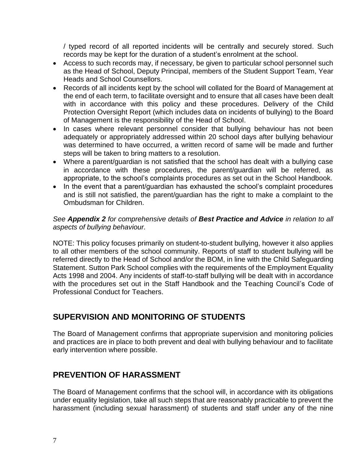/ typed record of all reported incidents will be centrally and securely stored. Such records may be kept for the duration of a student's enrolment at the school.

- Access to such records may, if necessary, be given to particular school personnel such as the Head of School, Deputy Principal, members of the Student Support Team, Year Heads and School Counsellors.
- Records of all incidents kept by the school will collated for the Board of Management at the end of each term, to facilitate oversight and to ensure that all cases have been dealt with in accordance with this policy and these procedures. Delivery of the Child Protection Oversight Report (which includes data on incidents of bullying) to the Board of Management is the responsibility of the Head of School.
- In cases where relevant personnel consider that bullying behaviour has not been adequately or appropriately addressed within 20 school days after bullying behaviour was determined to have occurred, a written record of same will be made and further steps will be taken to bring matters to a resolution.
- Where a parent/guardian is not satisfied that the school has dealt with a bullying case in accordance with these procedures, the parent/guardian will be referred, as appropriate, to the school's complaints procedures as set out in the School Handbook.
- In the event that a parent/guardian has exhausted the school's complaint procedures and is still not satisfied, the parent/guardian has the right to make a complaint to the Ombudsman for Children.

*See Appendix 2 for comprehensive details of Best Practice and Advice in relation to all aspects of bullying behaviour.*

NOTE: This policy focuses primarily on student-to-student bullying, however it also applies to all other members of the school community. Reports of staff to student bullying will be referred directly to the Head of School and/or the BOM, in line with the Child Safeguarding Statement. Sutton Park School complies with the requirements of the Employment Equality Acts 1998 and 2004. Any incidents of staff-to-staff bullying will be dealt with in accordance with the procedures set out in the Staff Handbook and the Teaching Council's Code of Professional Conduct for Teachers.

# **SUPERVISION AND MONITORING OF STUDENTS**

The Board of Management confirms that appropriate supervision and monitoring policies and practices are in place to both prevent and deal with bullying behaviour and to facilitate early intervention where possible.

# **PREVENTION OF HARASSMENT**

The Board of Management confirms that the school will, in accordance with its obligations under equality legislation, take all such steps that are reasonably practicable to prevent the harassment (including sexual harassment) of students and staff under any of the nine